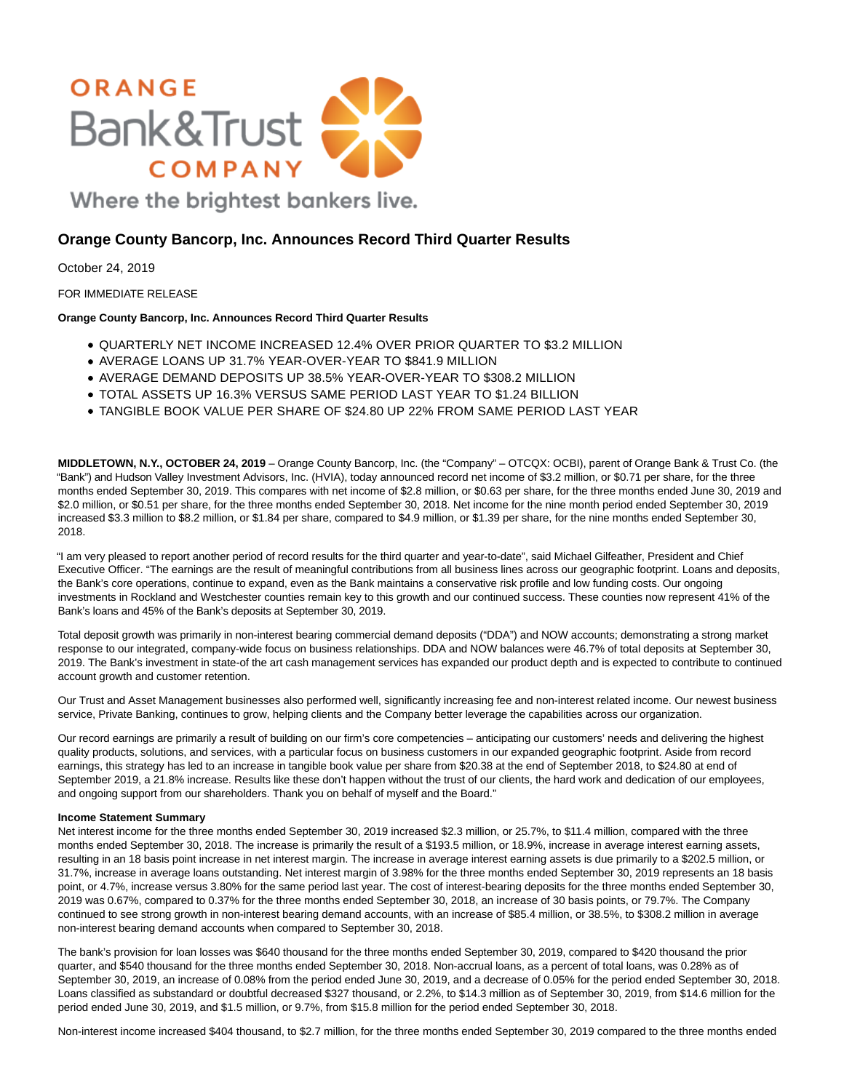

**Orange County Bancorp, Inc. Announces Record Third Quarter Results**

October 24, 2019

FOR IMMEDIATE RELEASE

# **Orange County Bancorp, Inc. Announces Record Third Quarter Results**

- QUARTERLY NET INCOME INCREASED 12.4% OVER PRIOR QUARTER TO \$3.2 MILLION
- AVERAGE LOANS UP 31.7% YEAR-OVER-YEAR TO \$841.9 MILLION
- AVERAGE DEMAND DEPOSITS UP 38.5% YEAR-OVER-YEAR TO \$308.2 MILLION
- TOTAL ASSETS UP 16.3% VERSUS SAME PERIOD LAST YEAR TO \$1.24 BILLION
- TANGIBLE BOOK VALUE PER SHARE OF \$24.80 UP 22% FROM SAME PERIOD LAST YEAR

**MIDDLETOWN, N.Y., OCTOBER 24, 2019** – Orange County Bancorp, Inc. (the "Company" – OTCQX: OCBI), parent of Orange Bank & Trust Co. (the "Bank") and Hudson Valley Investment Advisors, Inc. (HVIA), today announced record net income of \$3.2 million, or \$0.71 per share, for the three months ended September 30, 2019. This compares with net income of \$2.8 million, or \$0.63 per share, for the three months ended June 30, 2019 and \$2.0 million, or \$0.51 per share, for the three months ended September 30, 2018. Net income for the nine month period ended September 30, 2019 increased \$3.3 million to \$8.2 million, or \$1.84 per share, compared to \$4.9 million, or \$1.39 per share, for the nine months ended September 30, 2018.

"I am very pleased to report another period of record results for the third quarter and year-to-date", said Michael Gilfeather, President and Chief Executive Officer. "The earnings are the result of meaningful contributions from all business lines across our geographic footprint. Loans and deposits, the Bank's core operations, continue to expand, even as the Bank maintains a conservative risk profile and low funding costs. Our ongoing investments in Rockland and Westchester counties remain key to this growth and our continued success. These counties now represent 41% of the Bank's loans and 45% of the Bank's deposits at September 30, 2019.

Total deposit growth was primarily in non-interest bearing commercial demand deposits ("DDA") and NOW accounts; demonstrating a strong market response to our integrated, company-wide focus on business relationships. DDA and NOW balances were 46.7% of total deposits at September 30, 2019. The Bank's investment in state-of the art cash management services has expanded our product depth and is expected to contribute to continued account growth and customer retention.

Our Trust and Asset Management businesses also performed well, significantly increasing fee and non-interest related income. Our newest business service, Private Banking, continues to grow, helping clients and the Company better leverage the capabilities across our organization.

Our record earnings are primarily a result of building on our firm's core competencies – anticipating our customers' needs and delivering the highest quality products, solutions, and services, with a particular focus on business customers in our expanded geographic footprint. Aside from record earnings, this strategy has led to an increase in tangible book value per share from \$20.38 at the end of September 2018, to \$24.80 at end of September 2019, a 21.8% increase. Results like these don't happen without the trust of our clients, the hard work and dedication of our employees, and ongoing support from our shareholders. Thank you on behalf of myself and the Board."

# **Income Statement Summary**

Net interest income for the three months ended September 30, 2019 increased \$2.3 million, or 25.7%, to \$11.4 million, compared with the three months ended September 30, 2018. The increase is primarily the result of a \$193.5 million, or 18.9%, increase in average interest earning assets, resulting in an 18 basis point increase in net interest margin. The increase in average interest earning assets is due primarily to a \$202.5 million, or 31.7%, increase in average loans outstanding. Net interest margin of 3.98% for the three months ended September 30, 2019 represents an 18 basis point, or 4.7%, increase versus 3.80% for the same period last year. The cost of interest-bearing deposits for the three months ended September 30, 2019 was 0.67%, compared to 0.37% for the three months ended September 30, 2018, an increase of 30 basis points, or 79.7%. The Company continued to see strong growth in non-interest bearing demand accounts, with an increase of \$85.4 million, or 38.5%, to \$308.2 million in average non-interest bearing demand accounts when compared to September 30, 2018.

The bank's provision for loan losses was \$640 thousand for the three months ended September 30, 2019, compared to \$420 thousand the prior quarter, and \$540 thousand for the three months ended September 30, 2018. Non-accrual loans, as a percent of total loans, was 0.28% as of September 30, 2019, an increase of 0.08% from the period ended June 30, 2019, and a decrease of 0.05% for the period ended September 30, 2018. Loans classified as substandard or doubtful decreased \$327 thousand, or 2.2%, to \$14.3 million as of September 30, 2019, from \$14.6 million for the period ended June 30, 2019, and \$1.5 million, or 9.7%, from \$15.8 million for the period ended September 30, 2018.

Non-interest income increased \$404 thousand, to \$2.7 million, for the three months ended September 30, 2019 compared to the three months ended